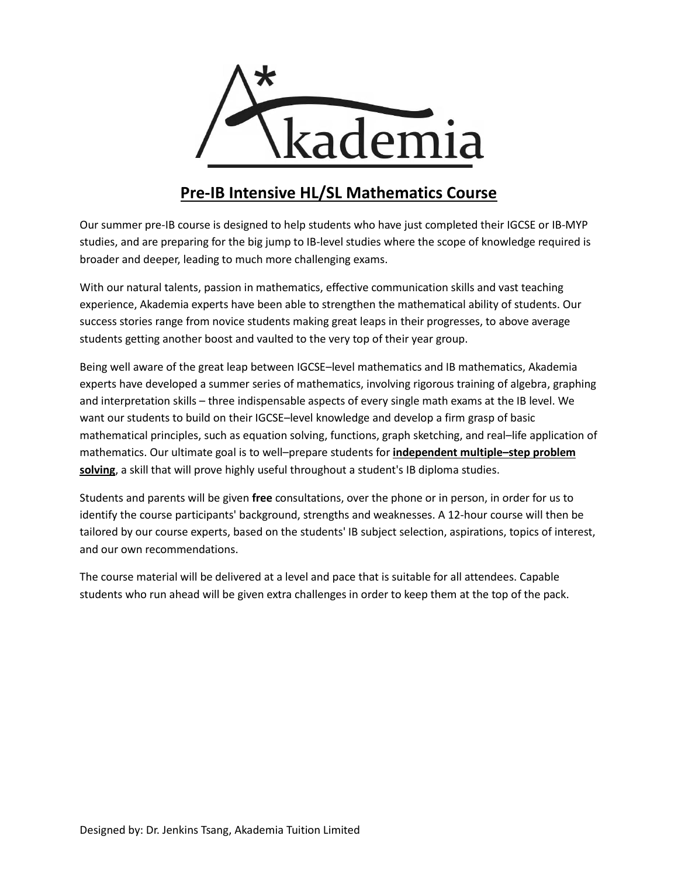

# **Pre-IB Intensive HL/SL Mathematics Course**

Our summer pre-IB course is designed to help students who have just completed their IGCSE or IB-MYP studies, and are preparing for the big jump to IB-level studies where the scope of knowledge required is broader and deeper, leading to much more challenging exams.

With our natural talents, passion in mathematics, effective communication skills and vast teaching experience, Akademia experts have been able to strengthen the mathematical ability of students. Our success stories range from novice students making great leaps in their progresses, to above average students getting another boost and vaulted to the very top of their year group.

Being well aware of the great leap between IGCSE–level mathematics and IB mathematics, Akademia experts have developed a summer series of mathematics, involving rigorous training of algebra, graphing and interpretation skills – three indispensable aspects of every single math exams at the IB level. We want our students to build on their IGCSE–level knowledge and develop a firm grasp of basic mathematical principles, such as equation solving, functions, graph sketching, and real–life application of mathematics. Our ultimate goal is to well–prepare students for **independent multiple–step problem solving**, a skill that will prove highly useful throughout a student's IB diploma studies.

Students and parents will be given **free** consultations, over the phone or in person, in order for us to identify the course participants' background, strengths and weaknesses. A 12-hour course will then be tailored by our course experts, based on the students' IB subject selection, aspirations, topics of interest, and our own recommendations.

The course material will be delivered at a level and pace that is suitable for all attendees. Capable students who run ahead will be given extra challenges in order to keep them at the top of the pack.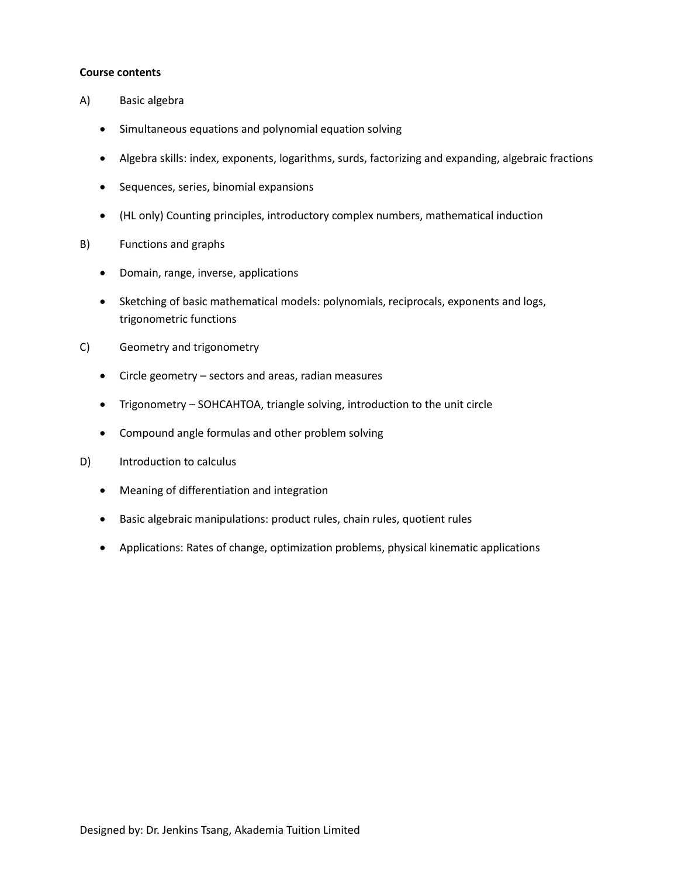#### **Course contents**

- A) Basic algebra
	- Simultaneous equations and polynomial equation solving
	- Algebra skills: index, exponents, logarithms, surds, factorizing and expanding, algebraic fractions
	- **•** Sequences, series, binomial expansions
	- (HL only) Counting principles, introductory complex numbers, mathematical induction
- B) Functions and graphs
	- Domain, range, inverse, applications
	- Sketching of basic mathematical models: polynomials, reciprocals, exponents and logs, trigonometric functions
- C) Geometry and trigonometry
	- Circle geometry sectors and areas, radian measures
	- Trigonometry SOHCAHTOA, triangle solving, introduction to the unit circle
	- Compound angle formulas and other problem solving
- D) Introduction to calculus
	- Meaning of differentiation and integration
	- Basic algebraic manipulations: product rules, chain rules, quotient rules
	- Applications: Rates of change, optimization problems, physical kinematic applications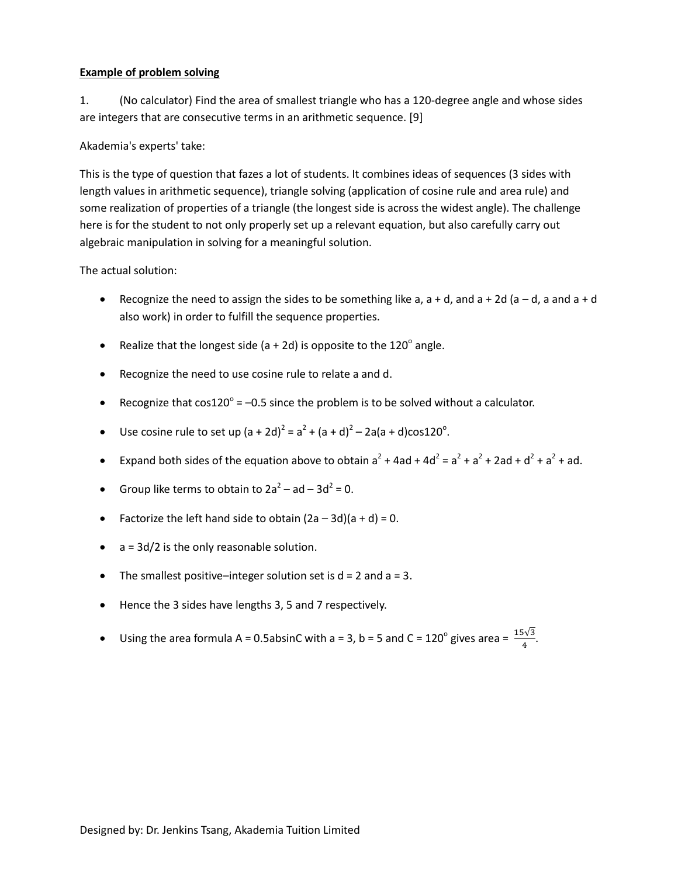### **Example of problem solving**

1. (No calculator) Find the area of smallest triangle who has a 120-degree angle and whose sides are integers that are consecutive terms in an arithmetic sequence. [9]

Akademia's experts' take:

This is the type of question that fazes a lot of students. It combines ideas of sequences (3 sides with length values in arithmetic sequence), triangle solving (application of cosine rule and area rule) and some realization of properties of a triangle (the longest side is across the widest angle). The challenge here is for the student to not only properly set up a relevant equation, but also carefully carry out algebraic manipulation in solving for a meaningful solution.

The actual solution:

- **•** Recognize the need to assign the sides to be something like a,  $a + d$ , and  $a + 2d$  ( $a d$ , a and  $a + d$ also work) in order to fulfill the sequence properties.
- Realize that the longest side (a + 2d) is opposite to the  $120^{\circ}$  angle.
- Recognize the need to use cosine rule to relate a and d.
- Recognize that  $cos120^\circ = -0.5$  since the problem is to be solved without a calculator.
- Use cosine rule to set up  $(a + 2d)^2 = a^2 + (a + d)^2 2a(a + d) \cos 120^\circ$ .
- Expand both sides of the equation above to obtain  $a^2 + 4ad + 4d^2 = a^2 + a^2 + 2ad + d^2 + a^2 + ad$ .
- Group like terms to obtain to  $2a^2 ad 3d^2 = 0$ .
- Factorize the left hand side to obtain  $(2a 3d)(a + d) = 0$ .
- $\bullet$  a = 3d/2 is the only reasonable solution.
- The smallest positive–integer solution set is  $d = 2$  and  $a = 3$ .
- Hence the 3 sides have lengths 3, 5 and 7 respectively.
- Using the area formula A = 0.5absinC with a = 3, b = 5 and C =  $120^{\circ}$  gives area =  $\frac{15\sqrt{3}}{4}$ .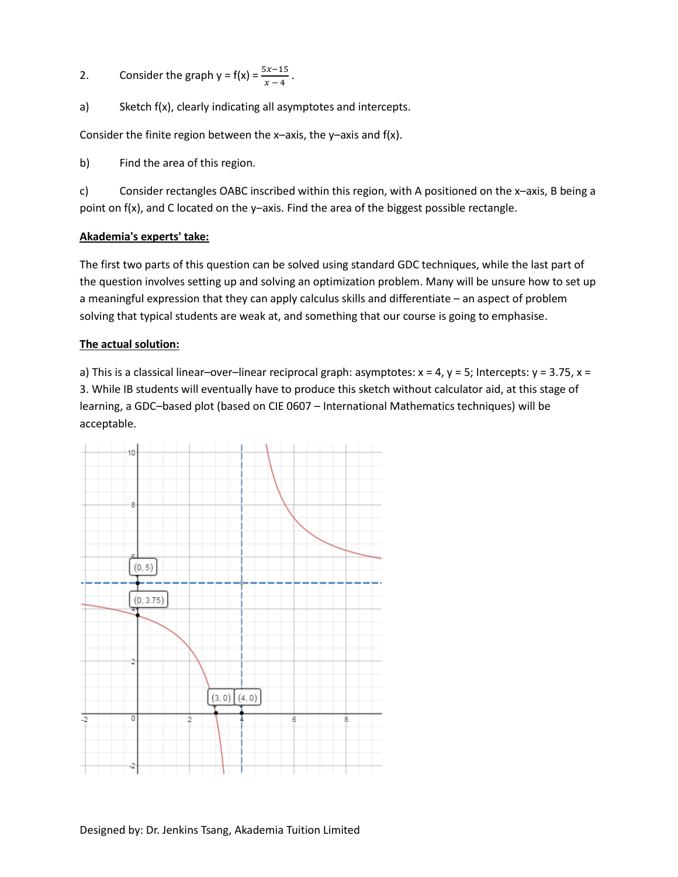2. Consider the graph  $y = f(x) = \frac{3x-13}{x-4}$ .

a) Sketch f(x), clearly indicating all asymptotes and intercepts.

Consider the finite region between the  $x$ -axis, the  $y$ -axis and  $f(x)$ .

b) Find the area of this region.

c) Consider rectangles OABC inscribed within this region, with A positioned on the x–axis, B being a point on f(x), and C located on the y–axis. Find the area of the biggest possible rectangle.

# **Akademia's experts' take:**

The first two parts of this question can be solved using standard GDC techniques, while the last part of the question involves setting up and solving an optimization problem. Many will be unsure how to set up a meaningful expression that they can apply calculus skills and differentiate – an aspect of problem solving that typical students are weak at, and something that our course is going to emphasise.

# **The actual solution:**

a) This is a classical linear–over–linear reciprocal graph: asymptotes:  $x = 4$ ,  $y = 5$ ; Intercepts:  $y = 3.75$ ,  $x =$ 3. While IB students will eventually have to produce this sketch without calculator aid, at this stage of learning, a GDC–based plot (based on CIE 0607 – International Mathematics techniques) will be acceptable.